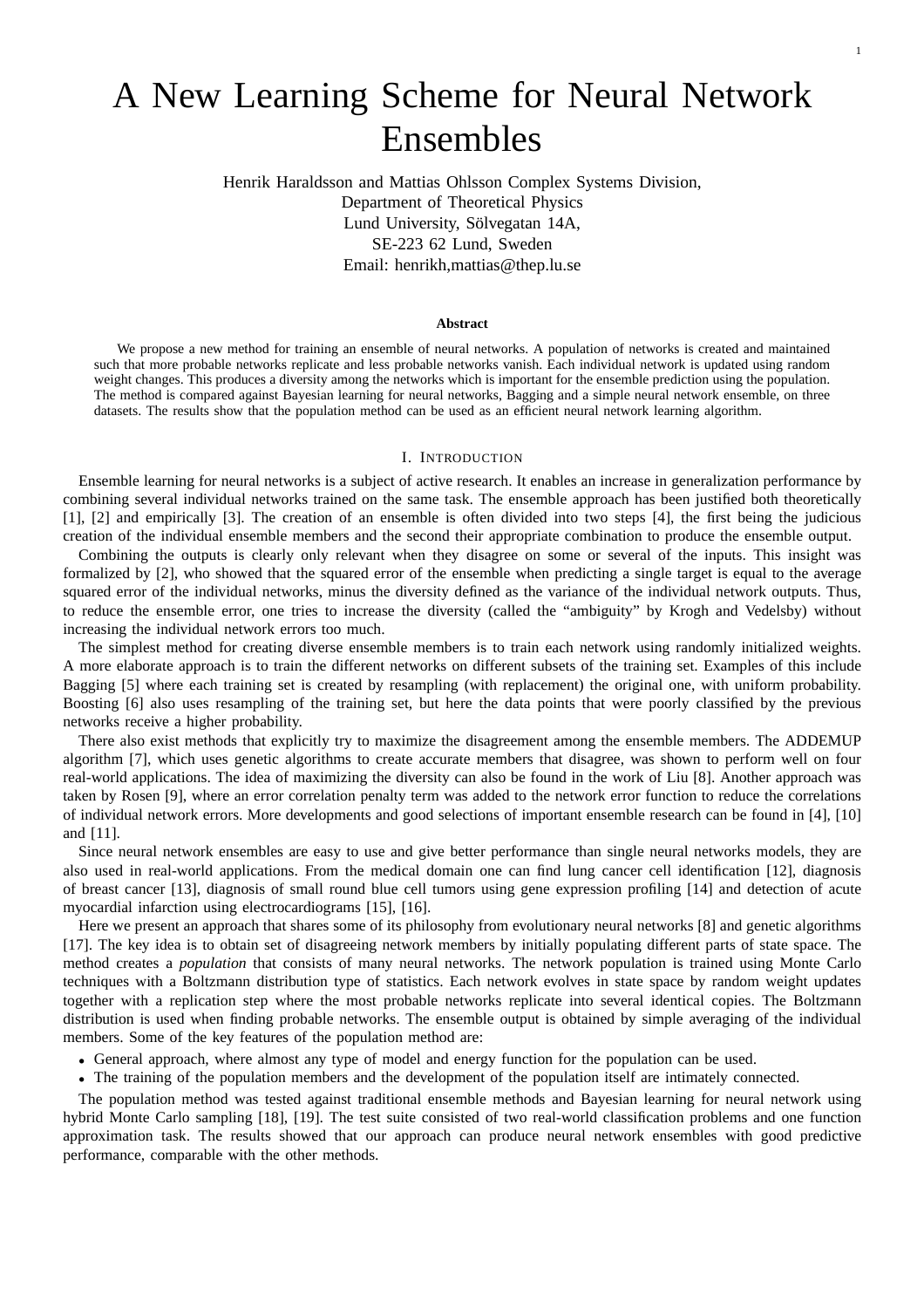# A New Learning Scheme for Neural Network Ensembles

Henrik Haraldsson and Mattias Ohlsson Complex Systems Division, Department of Theoretical Physics Lund University, Sölvegatan 14A, SE-223 62 Lund, Sweden Email: henrikh,mattias@thep.lu.se

## **Abstract**

We propose a new method for training an ensemble of neural networks. A population of networks is created and maintained such that more probable networks replicate and less probable networks vanish. Each individual network is updated using random weight changes. This produces a diversity among the networks which is important for the ensemble prediction using the population. The method is compared against Bayesian learning for neural networks, Bagging and a simple neural network ensemble, on three datasets. The results show that the population method can be used as an efficient neural network learning algorithm.

## I. INTRODUCTION

Ensemble learning for neural networks is a subject of active research. It enables an increase in generalization performance by combining several individual networks trained on the same task. The ensemble approach has been justified both theoretically [1], [2] and empirically [3]. The creation of an ensemble is often divided into two steps [4], the first being the judicious creation of the individual ensemble members and the second their appropriate combination to produce the ensemble output.

Combining the outputs is clearly only relevant when they disagree on some or several of the inputs. This insight was formalized by [2], who showed that the squared error of the ensemble when predicting a single target is equal to the average squared error of the individual networks, minus the diversity defined as the variance of the individual network outputs. Thus, to reduce the ensemble error, one tries to increase the diversity (called the "ambiguity" by Krogh and Vedelsby) without increasing the individual network errors too much.

The simplest method for creating diverse ensemble members is to train each network using randomly initialized weights. A more elaborate approach is to train the different networks on different subsets of the training set. Examples of this include Bagging [5] where each training set is created by resampling (with replacement) the original one, with uniform probability. Boosting [6] also uses resampling of the training set, but here the data points that were poorly classified by the previous networks receive a higher probability.

There also exist methods that explicitly try to maximize the disagreement among the ensemble members. The ADDEMUP algorithm [7], which uses genetic algorithms to create accurate members that disagree, was shown to perform well on four real-world applications. The idea of maximizing the diversity can also be found in the work of Liu [8]. Another approach was taken by Rosen [9], where an error correlation penalty term was added to the network error function to reduce the correlations of individual network errors. More developments and good selections of important ensemble research can be found in [4], [10] and [11].

Since neural network ensembles are easy to use and give better performance than single neural networks models, they are also used in real-world applications. From the medical domain one can find lung cancer cell identification [12], diagnosis of breast cancer [13], diagnosis of small round blue cell tumors using gene expression profiling [14] and detection of acute myocardial infarction using electrocardiograms [15], [16].

Here we present an approach that shares some of its philosophy from evolutionary neural networks [8] and genetic algorithms [17]. The key idea is to obtain set of disagreeing network members by initially populating different parts of state space. The method creates a *population* that consists of many neural networks. The network population is trained using Monte Carlo techniques with a Boltzmann distribution type of statistics. Each network evolves in state space by random weight updates together with a replication step where the most probable networks replicate into several identical copies. The Boltzmann distribution is used when finding probable networks. The ensemble output is obtained by simple averaging of the individual members. Some of the key features of the population method are:

- General approach, where almost any type of model and energy function for the population can be used.
- The training of the population members and the development of the population itself are intimately connected.

The population method was tested against traditional ensemble methods and Bayesian learning for neural network using hybrid Monte Carlo sampling [18], [19]. The test suite consisted of two real-world classification problems and one function approximation task. The results showed that our approach can produce neural network ensembles with good predictive performance, comparable with the other methods.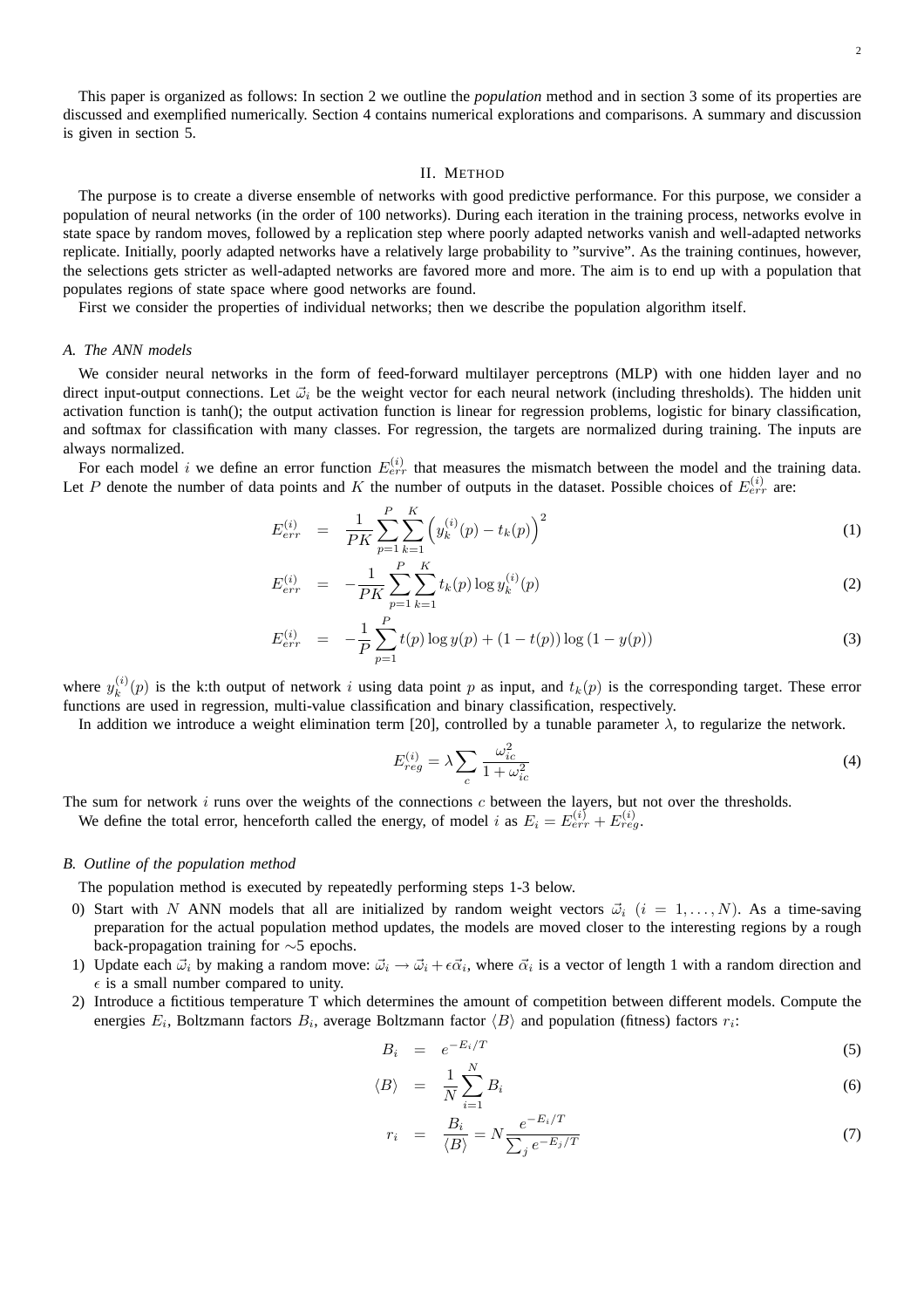This paper is organized as follows: In section 2 we outline the *population* method and in section 3 some of its properties are discussed and exemplified numerically. Section 4 contains numerical explorations and comparisons. A summary and discussion is given in section 5.

## II. METHOD

The purpose is to create a diverse ensemble of networks with good predictive performance. For this purpose, we consider a population of neural networks (in the order of 100 networks). During each iteration in the training process, networks evolve in state space by random moves, followed by a replication step where poorly adapted networks vanish and well-adapted networks replicate. Initially, poorly adapted networks have a relatively large probability to "survive". As the training continues, however, the selections gets stricter as well-adapted networks are favored more and more. The aim is to end up with a population that populates regions of state space where good networks are found.

First we consider the properties of individual networks; then we describe the population algorithm itself.

## *A. The ANN models*

We consider neural networks in the form of feed-forward multilayer perceptrons (MLP) with one hidden layer and no direct input-output connections. Let  $\vec{\omega}_i$  be the weight vector for each neural network (including thresholds). The hidden unit activation function is tanh(); the output activation function is linear for regression problems, logistic for binary classification, and softmax for classification with many classes. For regression, the targets are normalized during training. The inputs are always normalized.

For each model i we define an error function  $E_{err}^{(i)}$  that measures the mismatch between the model and the training data. Let P denote the number of data points and K the number of outputs in the dataset. Possible choices of  $E_{err}^{(i)}$  are:

$$
E_{err}^{(i)} = \frac{1}{PK} \sum_{p=1}^{P} \sum_{k=1}^{K} \left( y_k^{(i)}(p) - t_k(p) \right)^2 \tag{1}
$$

$$
E_{err}^{(i)} = -\frac{1}{PK} \sum_{p=1}^{P} \sum_{k=1}^{K} t_k(p) \log y_k^{(i)}(p)
$$
 (2)

$$
E_{err}^{(i)} = -\frac{1}{P} \sum_{p=1}^{P} t(p) \log y(p) + (1 - t(p)) \log (1 - y(p)) \tag{3}
$$

where  $y_k^{(i)}$  $k^{(i)}(p)$  is the k:th output of network i using data point p as input, and  $t_k(p)$  is the corresponding target. These error functions are used in regression, multi-value classification and binary classification, respectively.

In addition we introduce a weight elimination term [20], controlled by a tunable parameter  $\lambda$ , to regularize the network.

$$
E_{reg}^{(i)} = \lambda \sum_{c} \frac{\omega_{ic}^2}{1 + \omega_{ic}^2} \tag{4}
$$

The sum for network  $i$  runs over the weights of the connections  $c$  between the layers, but not over the thresholds. We define the total error, henceforth called the energy, of model i as  $E_i = E_{err}^{(i)} + E_{reg}^{(i)}$ .

## *B. Outline of the population method*

The population method is executed by repeatedly performing steps 1-3 below.

- 0) Start with N ANN models that all are initialized by random weight vectors  $\vec{\omega}_i$   $(i = 1, \ldots, N)$ . As a time-saving preparation for the actual population method updates, the models are moved closer to the interesting regions by a rough back-propagation training for ∼5 epochs.
- 1) Update each  $\vec{\omega}_i$  by making a random move:  $\vec{\omega}_i \to \vec{\omega}_i + \epsilon \vec{\alpha}_i$ , where  $\vec{\alpha}_i$  is a vector of length 1 with a random direction and  $\epsilon$  is a small number compared to unity.
- 2) Introduce a fictitious temperature T which determines the amount of competition between different models. Compute the energies  $E_i$ , Boltzmann factors  $B_i$ , average Boltzmann factor  $\langle B \rangle$  and population (fitness) factors  $r_i$ :

$$
B_i = e^{-E_i/T} \tag{5}
$$

$$
\langle B \rangle = \frac{1}{N} \sum_{i=1}^{N} B_i \tag{6}
$$

$$
r_i = \frac{B_i}{\langle B \rangle} = N \frac{e^{-E_i/T}}{\sum_j e^{-E_j/T}}
$$
\n(7)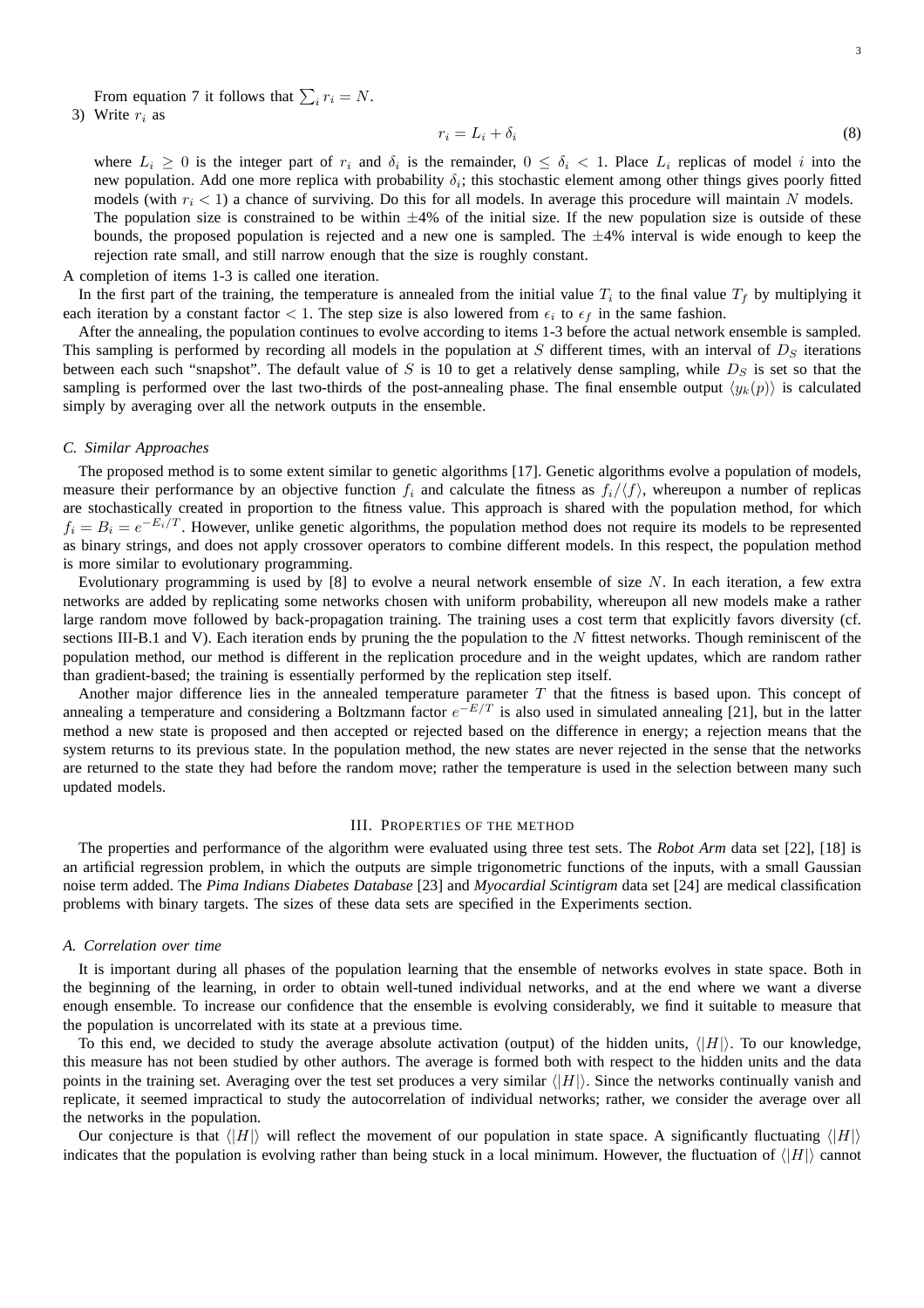From equation 7 it follows that  $\sum_i r_i = N$ .

3) Write  $r_i$  as

$$
r_i = L_i + \delta_i \tag{8}
$$

where  $L_i \geq 0$  is the integer part of  $r_i$  and  $\delta_i$  is the remainder,  $0 \leq \delta_i < 1$ . Place  $L_i$  replicas of model i into the new population. Add one more replica with probability  $\delta_i$ ; this stochastic element among other things gives poorly fitted models (with  $r_i < 1$ ) a chance of surviving. Do this for all models. In average this procedure will maintain N models. The population size is constrained to be within  $\pm 4\%$  of the initial size. If the new population size is outside of these bounds, the proposed population is rejected and a new one is sampled. The  $\pm 4\%$  interval is wide enough to keep the rejection rate small, and still narrow enough that the size is roughly constant.

A completion of items 1-3 is called one iteration.

In the first part of the training, the temperature is annealed from the initial value  $T_i$  to the final value  $T_f$  by multiplying it each iteration by a constant factor  $< 1$ . The step size is also lowered from  $\epsilon_i$  to  $\epsilon_f$  in the same fashion.

After the annealing, the population continues to evolve according to items 1-3 before the actual network ensemble is sampled. This sampling is performed by recording all models in the population at S different times, with an interval of  $D<sub>S</sub>$  iterations between each such "snapshot". The default value of S is 10 to get a relatively dense sampling, while  $D<sub>S</sub>$  is set so that the sampling is performed over the last two-thirds of the post-annealing phase. The final ensemble output  $\langle y_k(p) \rangle$  is calculated simply by averaging over all the network outputs in the ensemble.

## *C. Similar Approaches*

The proposed method is to some extent similar to genetic algorithms [17]. Genetic algorithms evolve a population of models, measure their performance by an objective function  $f_i$  and calculate the fitness as  $f_i/\langle f \rangle$ , whereupon a number of replicas are stochastically created in proportion to the fitness value. This approach is shared with the population method, for which  $f_i = B_i = e^{-E_i/T}$ . However, unlike genetic algorithms, the population method does not require its models to be represented as binary strings, and does not apply crossover operators to combine different models. In this respect, the population method is more similar to evolutionary programming.

Evolutionary programming is used by [8] to evolve a neural network ensemble of size N. In each iteration, a few extra networks are added by replicating some networks chosen with uniform probability, whereupon all new models make a rather large random move followed by back-propagation training. The training uses a cost term that explicitly favors diversity (cf. sections III-B.1 and V). Each iteration ends by pruning the the population to the  $N$  fittest networks. Though reminiscent of the population method, our method is different in the replication procedure and in the weight updates, which are random rather than gradient-based; the training is essentially performed by the replication step itself.

Another major difference lies in the annealed temperature parameter  $T$  that the fitness is based upon. This concept of annealing a temperature and considering a Boltzmann factor  $e^{-E/T}$  is also used in simulated annealing [21], but in the latter method a new state is proposed and then accepted or rejected based on the difference in energy; a rejection means that the system returns to its previous state. In the population method, the new states are never rejected in the sense that the networks are returned to the state they had before the random move; rather the temperature is used in the selection between many such updated models.

## III. PROPERTIES OF THE METHOD

The properties and performance of the algorithm were evaluated using three test sets. The *Robot Arm* data set [22], [18] is an artificial regression problem, in which the outputs are simple trigonometric functions of the inputs, with a small Gaussian noise term added. The *Pima Indians Diabetes Database* [23] and *Myocardial Scintigram* data set [24] are medical classification problems with binary targets. The sizes of these data sets are specified in the Experiments section.

## *A. Correlation over time*

It is important during all phases of the population learning that the ensemble of networks evolves in state space. Both in the beginning of the learning, in order to obtain well-tuned individual networks, and at the end where we want a diverse enough ensemble. To increase our confidence that the ensemble is evolving considerably, we find it suitable to measure that the population is uncorrelated with its state at a previous time.

To this end, we decided to study the average absolute activation (output) of the hidden units,  $\langle |H| \rangle$ . To our knowledge, this measure has not been studied by other authors. The average is formed both with respect to the hidden units and the data points in the training set. Averaging over the test set produces a very similar  $\langle|H|\rangle$ . Since the networks continually vanish and replicate, it seemed impractical to study the autocorrelation of individual networks; rather, we consider the average over all the networks in the population.

Our conjecture is that  $\langle |H| \rangle$  will reflect the movement of our population in state space. A significantly fluctuating  $\langle |H| \rangle$ indicates that the population is evolving rather than being stuck in a local minimum. However, the fluctuation of  $\langle |H| \rangle$  cannot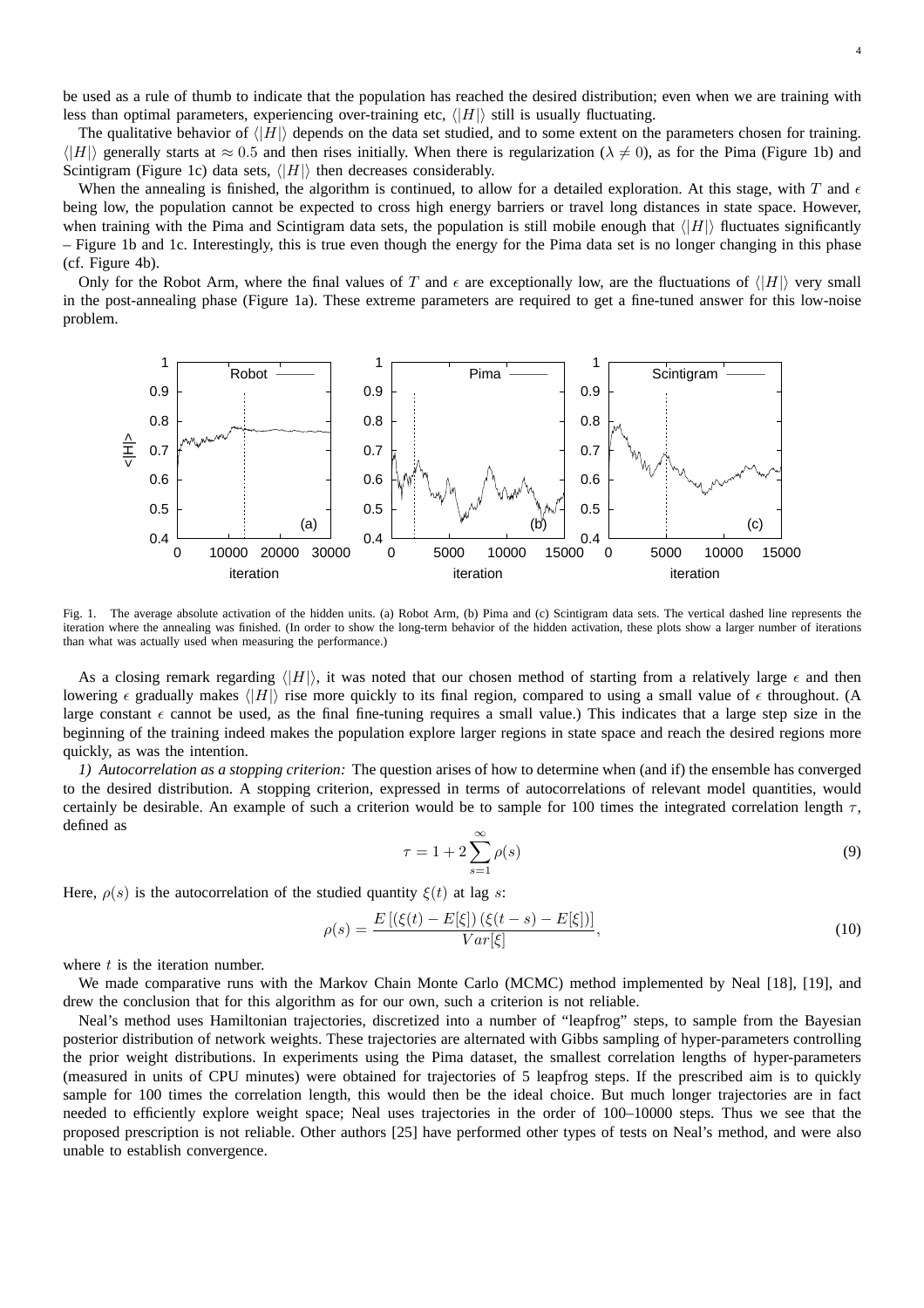be used as a rule of thumb to indicate that the population has reached the desired distribution; even when we are training with less than optimal parameters, experiencing over-training etc,  $\langle |H| \rangle$  still is usually fluctuating.

The qualitative behavior of  $\langle |H| \rangle$  depends on the data set studied, and to some extent on the parameters chosen for training.  $\langle |H| \rangle$  generally starts at  $\approx 0.5$  and then rises initially. When there is regularization ( $\lambda \neq 0$ ), as for the Pima (Figure 1b) and Scintigram (Figure 1c) data sets,  $\langle |H| \rangle$  then decreases considerably.

When the annealing is finished, the algorithm is continued, to allow for a detailed exploration. At this stage, with T and  $\epsilon$ being low, the population cannot be expected to cross high energy barriers or travel long distances in state space. However, when training with the Pima and Scintigram data sets, the population is still mobile enough that  $\langle|H|\rangle$  fluctuates significantly – Figure 1b and 1c. Interestingly, this is true even though the energy for the Pima data set is no longer changing in this phase (cf. Figure 4b).

Only for the Robot Arm, where the final values of T and  $\epsilon$  are exceptionally low, are the fluctuations of  $\langle |H| \rangle$  very small in the post-annealing phase (Figure 1a). These extreme parameters are required to get a fine-tuned answer for this low-noise problem.



Fig. 1. The average absolute activation of the hidden units. (a) Robot Arm, (b) Pima and (c) Scintigram data sets. The vertical dashed line represents the iteration where the annealing was finished. (In order to show the long-term behavior of the hidden activation, these plots show a larger number of iterations than what was actually used when measuring the performance.)

As a closing remark regarding  $\langle |H| \rangle$ , it was noted that our chosen method of starting from a relatively large  $\epsilon$  and then lowering  $\epsilon$  gradually makes  $\langle |H| \rangle$  rise more quickly to its final region, compared to using a small value of  $\epsilon$  throughout. (A large constant  $\epsilon$  cannot be used, as the final fine-tuning requires a small value.) This indicates that a large step size in the beginning of the training indeed makes the population explore larger regions in state space and reach the desired regions more quickly, as was the intention.

*1) Autocorrelation as a stopping criterion:* The question arises of how to determine when (and if) the ensemble has converged to the desired distribution. A stopping criterion, expressed in terms of autocorrelations of relevant model quantities, would certainly be desirable. An example of such a criterion would be to sample for 100 times the integrated correlation length  $\tau$ , defined as

$$
\tau = 1 + 2 \sum_{s=1}^{\infty} \rho(s) \tag{9}
$$

Here,  $\rho(s)$  is the autocorrelation of the studied quantity  $\xi(t)$  at lag s:

$$
\rho(s) = \frac{E\left[ (\xi(t) - E[\xi]) \left( \xi(t - s) - E[\xi] \right) \right]}{Var[\xi]},
$$
\n(10)

where  $t$  is the iteration number.

We made comparative runs with the Markov Chain Monte Carlo (MCMC) method implemented by Neal [18], [19], and drew the conclusion that for this algorithm as for our own, such a criterion is not reliable.

Neal's method uses Hamiltonian trajectories, discretized into a number of "leapfrog" steps, to sample from the Bayesian posterior distribution of network weights. These trajectories are alternated with Gibbs sampling of hyper-parameters controlling the prior weight distributions. In experiments using the Pima dataset, the smallest correlation lengths of hyper-parameters (measured in units of CPU minutes) were obtained for trajectories of 5 leapfrog steps. If the prescribed aim is to quickly sample for 100 times the correlation length, this would then be the ideal choice. But much longer trajectories are in fact needed to efficiently explore weight space; Neal uses trajectories in the order of 100–10000 steps. Thus we see that the proposed prescription is not reliable. Other authors [25] have performed other types of tests on Neal's method, and were also unable to establish convergence.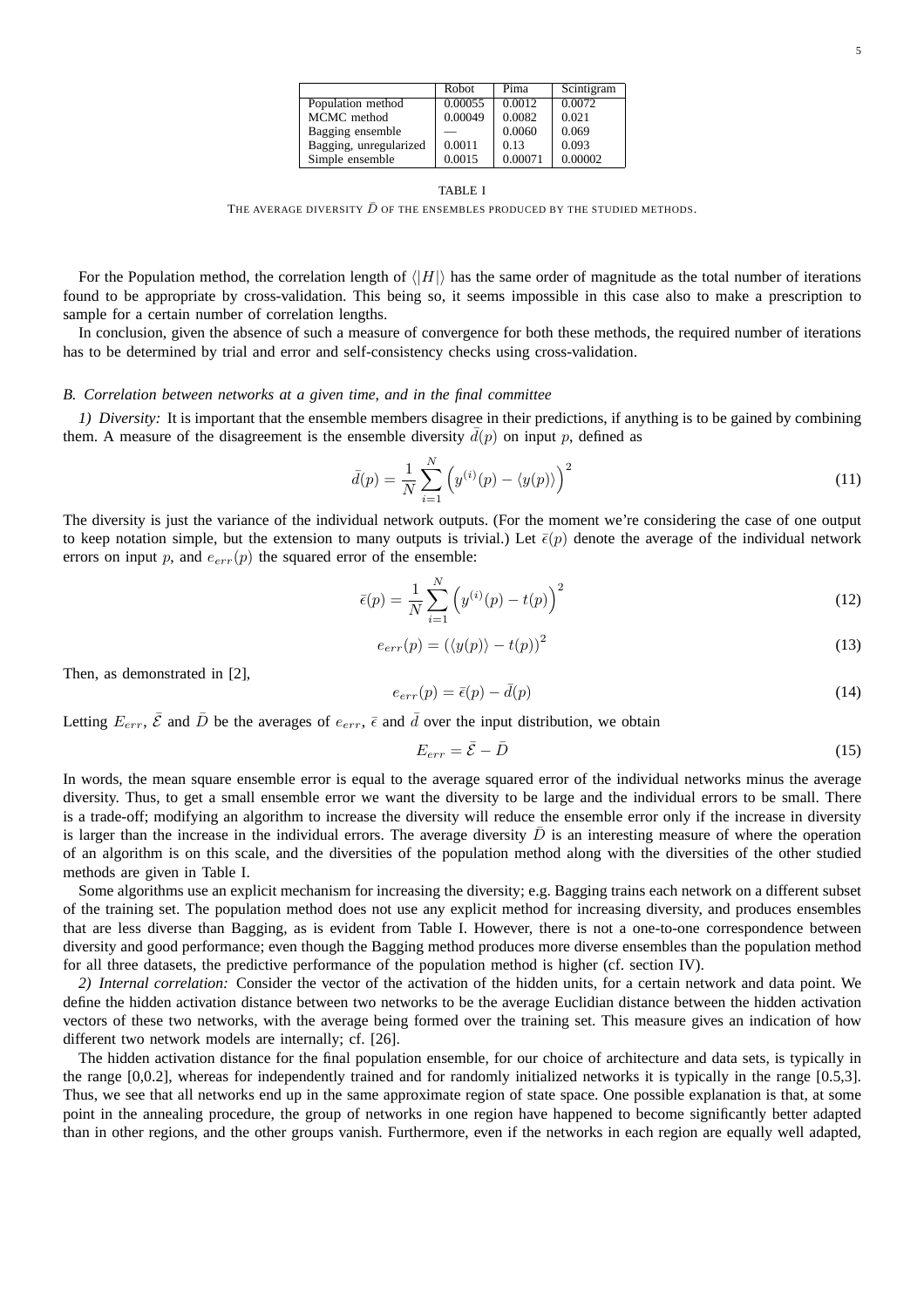| × |  |
|---|--|
|   |  |

|                        | Robot   | Pima    | Scintigram |
|------------------------|---------|---------|------------|
| Population method      | 0.00055 | 0.0012  | 0.0072     |
| MCMC method            | 0.00049 | 0.0082  | 0.021      |
| Bagging ensemble       |         | 0.0060  | 0.069      |
| Bagging, unregularized | 0.0011  | 0.13    | 0.093      |
| Simple ensemble        | 0.0015  | 0.00071 | 0.00002    |

#### TABLE I

THE AVERAGE DIVERSITY  $\bar{D}$  of the ensembles produced by the studied methods.

For the Population method, the correlation length of  $\langle |H| \rangle$  has the same order of magnitude as the total number of iterations found to be appropriate by cross-validation. This being so, it seems impossible in this case also to make a prescription to sample for a certain number of correlation lengths.

In conclusion, given the absence of such a measure of convergence for both these methods, the required number of iterations has to be determined by trial and error and self-consistency checks using cross-validation.

## *B. Correlation between networks at a given time, and in the final committee*

*1) Diversity:* It is important that the ensemble members disagree in their predictions, if anything is to be gained by combining them. A measure of the disagreement is the ensemble diversity  $\bar{d}(p)$  on input p, defined as

$$
\bar{d}(p) = \frac{1}{N} \sum_{i=1}^{N} \left( y^{(i)}(p) - \langle y(p) \rangle \right)^2 \tag{11}
$$

The diversity is just the variance of the individual network outputs. (For the moment we're considering the case of one output to keep notation simple, but the extension to many outputs is trivial.) Let  $\bar{\epsilon}(p)$  denote the average of the individual network errors on input p, and  $e_{err}(p)$  the squared error of the ensemble:

$$
\bar{\epsilon}(p) = \frac{1}{N} \sum_{i=1}^{N} \left( y^{(i)}(p) - t(p) \right)^2
$$
\n(12)

$$
e_{err}(p) = \left(\langle y(p) \rangle - t(p)\right)^2 \tag{13}
$$

Then, as demonstrated in [2],

$$
e_{err}(p) = \bar{\epsilon}(p) - \bar{d}(p) \tag{14}
$$

Letting  $E_{err}$ ,  $\bar{\mathcal{E}}$  and  $\bar{D}$  be the averages of  $e_{err}$ ,  $\bar{\epsilon}$  and  $\bar{d}$  over the input distribution, we obtain

$$
E_{err} = \bar{\mathcal{E}} - \bar{D} \tag{15}
$$

In words, the mean square ensemble error is equal to the average squared error of the individual networks minus the average diversity. Thus, to get a small ensemble error we want the diversity to be large and the individual errors to be small. There is a trade-off; modifying an algorithm to increase the diversity will reduce the ensemble error only if the increase in diversity is larger than the increase in the individual errors. The average diversity  $\bar{D}$  is an interesting measure of where the operation of an algorithm is on this scale, and the diversities of the population method along with the diversities of the other studied methods are given in Table I.

Some algorithms use an explicit mechanism for increasing the diversity; e.g. Bagging trains each network on a different subset of the training set. The population method does not use any explicit method for increasing diversity, and produces ensembles that are less diverse than Bagging, as is evident from Table I. However, there is not a one-to-one correspondence between diversity and good performance; even though the Bagging method produces more diverse ensembles than the population method for all three datasets, the predictive performance of the population method is higher (cf. section IV).

*2) Internal correlation:* Consider the vector of the activation of the hidden units, for a certain network and data point. We define the hidden activation distance between two networks to be the average Euclidian distance between the hidden activation vectors of these two networks, with the average being formed over the training set. This measure gives an indication of how different two network models are internally; cf. [26].

The hidden activation distance for the final population ensemble, for our choice of architecture and data sets, is typically in the range [0,0.2], whereas for independently trained and for randomly initialized networks it is typically in the range [0.5,3]. Thus, we see that all networks end up in the same approximate region of state space. One possible explanation is that, at some point in the annealing procedure, the group of networks in one region have happened to become significantly better adapted than in other regions, and the other groups vanish. Furthermore, even if the networks in each region are equally well adapted,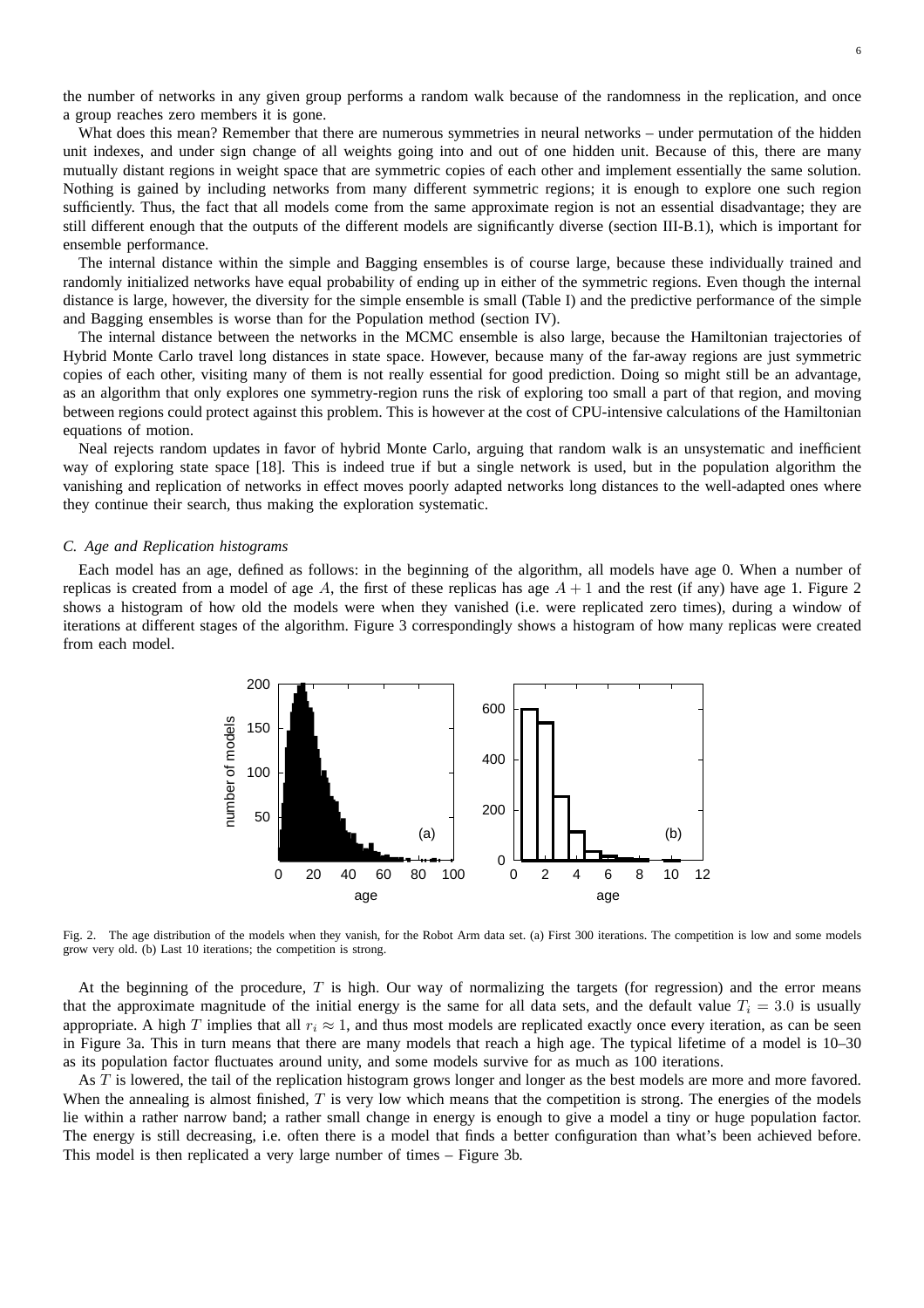the number of networks in any given group performs a random walk because of the randomness in the replication, and once a group reaches zero members it is gone.

What does this mean? Remember that there are numerous symmetries in neural networks – under permutation of the hidden unit indexes, and under sign change of all weights going into and out of one hidden unit. Because of this, there are many mutually distant regions in weight space that are symmetric copies of each other and implement essentially the same solution. Nothing is gained by including networks from many different symmetric regions; it is enough to explore one such region sufficiently. Thus, the fact that all models come from the same approximate region is not an essential disadvantage; they are still different enough that the outputs of the different models are significantly diverse (section III-B.1), which is important for ensemble performance.

The internal distance within the simple and Bagging ensembles is of course large, because these individually trained and randomly initialized networks have equal probability of ending up in either of the symmetric regions. Even though the internal distance is large, however, the diversity for the simple ensemble is small (Table I) and the predictive performance of the simple and Bagging ensembles is worse than for the Population method (section IV).

The internal distance between the networks in the MCMC ensemble is also large, because the Hamiltonian trajectories of Hybrid Monte Carlo travel long distances in state space. However, because many of the far-away regions are just symmetric copies of each other, visiting many of them is not really essential for good prediction. Doing so might still be an advantage, as an algorithm that only explores one symmetry-region runs the risk of exploring too small a part of that region, and moving between regions could protect against this problem. This is however at the cost of CPU-intensive calculations of the Hamiltonian equations of motion.

Neal rejects random updates in favor of hybrid Monte Carlo, arguing that random walk is an unsystematic and inefficient way of exploring state space [18]. This is indeed true if but a single network is used, but in the population algorithm the vanishing and replication of networks in effect moves poorly adapted networks long distances to the well-adapted ones where they continue their search, thus making the exploration systematic.

## *C. Age and Replication histograms*

Each model has an age, defined as follows: in the beginning of the algorithm, all models have age 0. When a number of replicas is created from a model of age A, the first of these replicas has age  $A + 1$  and the rest (if any) have age 1. Figure 2 shows a histogram of how old the models were when they vanished (i.e. were replicated zero times), during a window of iterations at different stages of the algorithm. Figure 3 correspondingly shows a histogram of how many replicas were created from each model.



Fig. 2. The age distribution of the models when they vanish, for the Robot Arm data set. (a) First 300 iterations. The competition is low and some models grow very old. (b) Last 10 iterations; the competition is strong.

At the beginning of the procedure,  $T$  is high. Our way of normalizing the targets (for regression) and the error means that the approximate magnitude of the initial energy is the same for all data sets, and the default value  $T_i = 3.0$  is usually appropriate. A high T implies that all  $r_i \approx 1$ , and thus most models are replicated exactly once every iteration, as can be seen in Figure 3a. This in turn means that there are many models that reach a high age. The typical lifetime of a model is 10–30 as its population factor fluctuates around unity, and some models survive for as much as 100 iterations.

As T is lowered, the tail of the replication histogram grows longer and longer as the best models are more and more favored. When the annealing is almost finished,  $T$  is very low which means that the competition is strong. The energies of the models lie within a rather narrow band; a rather small change in energy is enough to give a model a tiny or huge population factor. The energy is still decreasing, i.e. often there is a model that finds a better configuration than what's been achieved before. This model is then replicated a very large number of times – Figure 3b.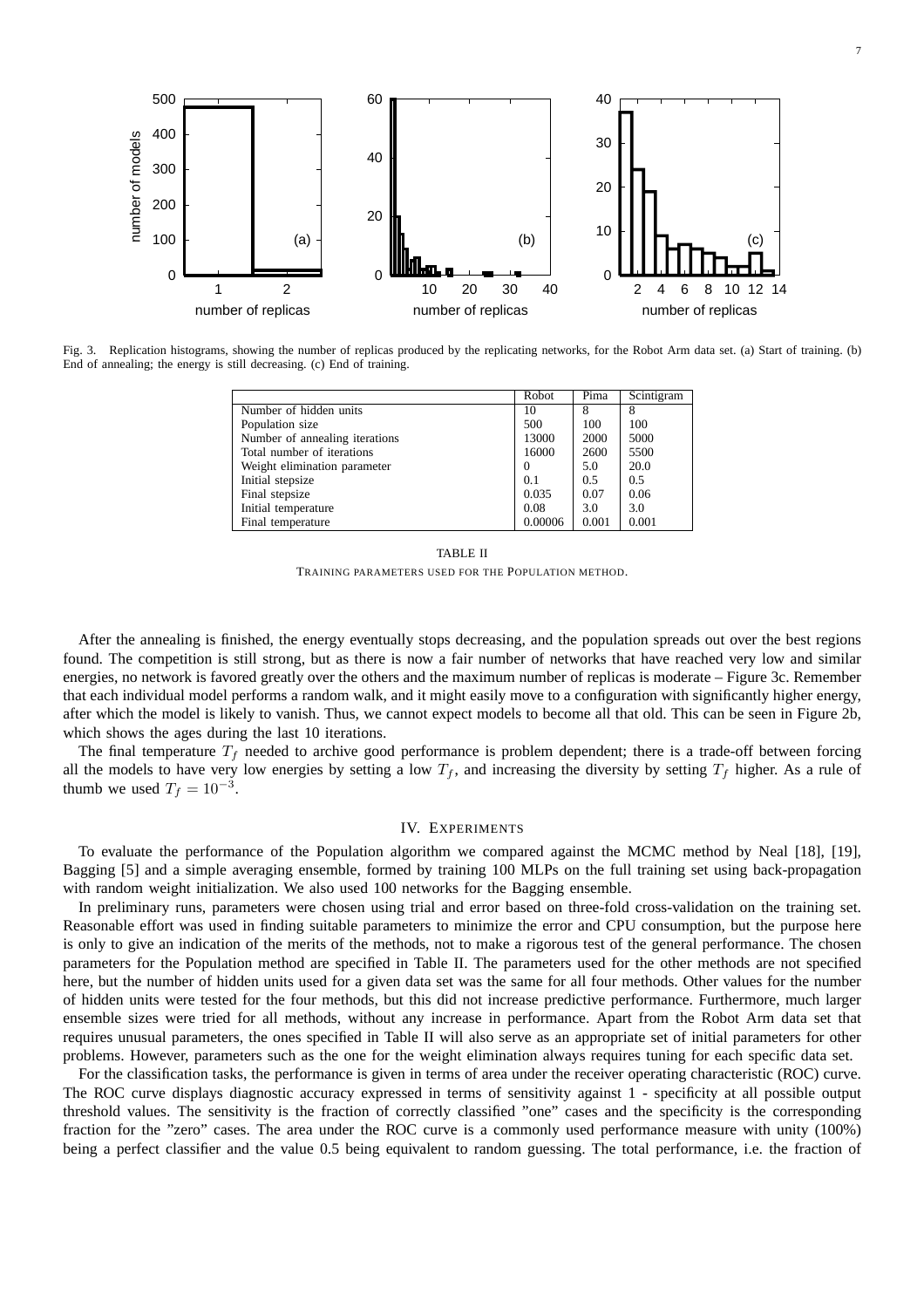

Fig. 3. Replication histograms, showing the number of replicas produced by the replicating networks, for the Robot Arm data set. (a) Start of training. (b) End of annealing; the energy is still decreasing. (c) End of training.

|                                | Robot    | Pima  | Scintigram |
|--------------------------------|----------|-------|------------|
| Number of hidden units         | 10       | 8     |            |
| Population size                | 500      | 100   | 100        |
| Number of annealing iterations | 13000    | 2000  | 5000       |
| Total number of iterations     | 16000    | 2600  | 5500       |
| Weight elimination parameter   | $\Omega$ | 5.0   | 20.0       |
| Initial stepsize               | 0.1      | 0.5   | 0.5        |
| Final stepsize                 | 0.035    | 0.07  | 0.06       |
| Initial temperature            | 0.08     | 3.0   | 3.0        |
| Final temperature              | 0.00006  | 0.001 | 0.001      |

TABLE II TRAINING PARAMETERS USED FOR THE POPULATION METHOD.

After the annealing is finished, the energy eventually stops decreasing, and the population spreads out over the best regions found. The competition is still strong, but as there is now a fair number of networks that have reached very low and similar energies, no network is favored greatly over the others and the maximum number of replicas is moderate – Figure 3c. Remember that each individual model performs a random walk, and it might easily move to a configuration with significantly higher energy, after which the model is likely to vanish. Thus, we cannot expect models to become all that old. This can be seen in Figure 2b, which shows the ages during the last 10 iterations.

The final temperature  $T_f$  needed to archive good performance is problem dependent; there is a trade-off between forcing all the models to have very low energies by setting a low  $T_f$ , and increasing the diversity by setting  $T_f$  higher. As a rule of thumb we used  $T_f = 10^{-3}$ .

# IV. EXPERIMENTS

To evaluate the performance of the Population algorithm we compared against the MCMC method by Neal [18], [19], Bagging [5] and a simple averaging ensemble, formed by training 100 MLPs on the full training set using back-propagation with random weight initialization. We also used 100 networks for the Bagging ensemble.

In preliminary runs, parameters were chosen using trial and error based on three-fold cross-validation on the training set. Reasonable effort was used in finding suitable parameters to minimize the error and CPU consumption, but the purpose here is only to give an indication of the merits of the methods, not to make a rigorous test of the general performance. The chosen parameters for the Population method are specified in Table II. The parameters used for the other methods are not specified here, but the number of hidden units used for a given data set was the same for all four methods. Other values for the number of hidden units were tested for the four methods, but this did not increase predictive performance. Furthermore, much larger ensemble sizes were tried for all methods, without any increase in performance. Apart from the Robot Arm data set that requires unusual parameters, the ones specified in Table II will also serve as an appropriate set of initial parameters for other problems. However, parameters such as the one for the weight elimination always requires tuning for each specific data set.

For the classification tasks, the performance is given in terms of area under the receiver operating characteristic (ROC) curve. The ROC curve displays diagnostic accuracy expressed in terms of sensitivity against 1 - specificity at all possible output threshold values. The sensitivity is the fraction of correctly classified "one" cases and the specificity is the corresponding fraction for the "zero" cases. The area under the ROC curve is a commonly used performance measure with unity (100%) being a perfect classifier and the value 0.5 being equivalent to random guessing. The total performance, i.e. the fraction of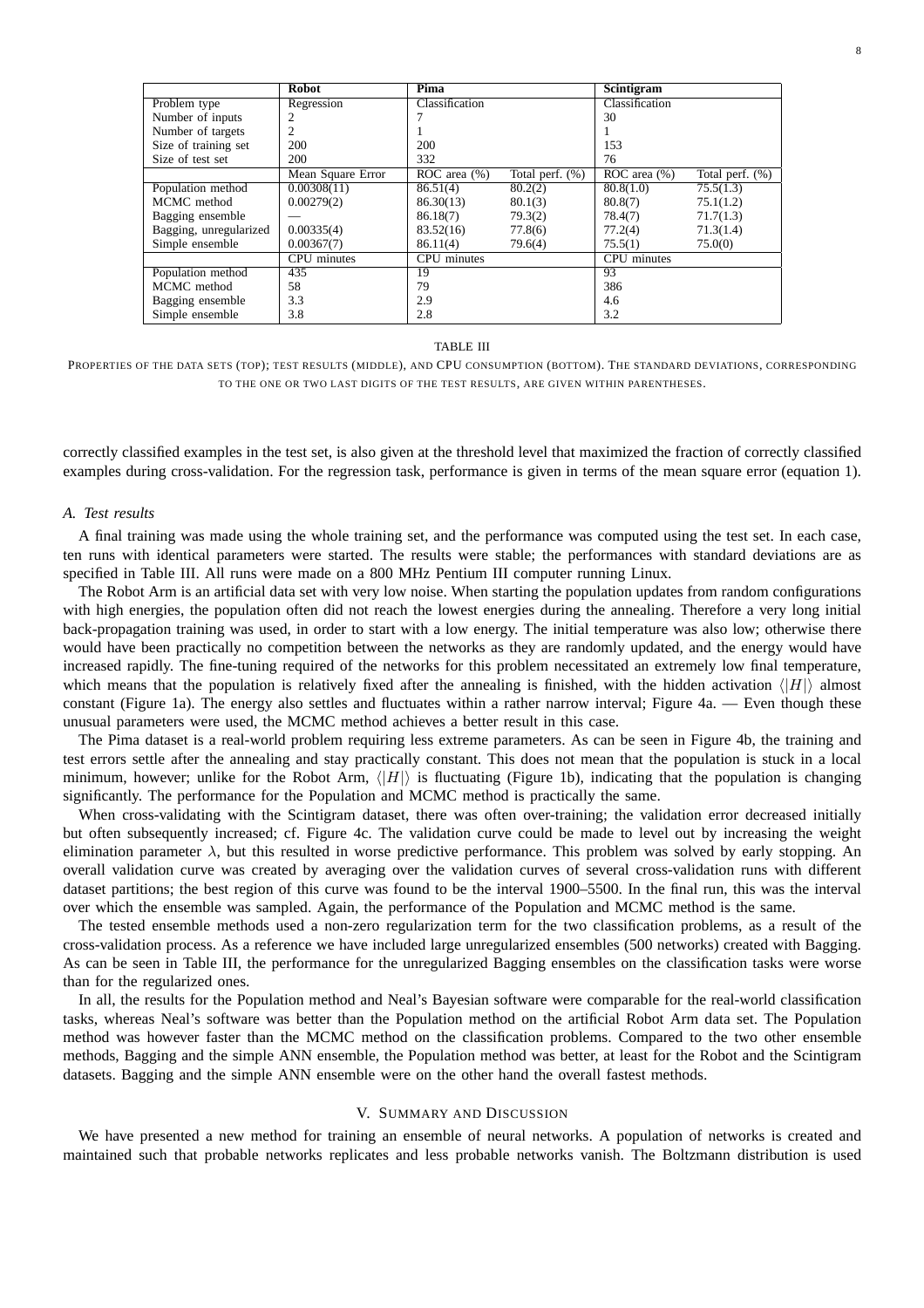|                        | <b>Robot</b>      | Pima              |                    | Scintigram         |                    |
|------------------------|-------------------|-------------------|--------------------|--------------------|--------------------|
| Problem type           | Regression        | Classification    |                    | Classification     |                    |
| Number of inputs       | 2                 |                   |                    | 30                 |                    |
| Number of targets      | 2                 |                   |                    |                    |                    |
| Size of training set   | 200               | 200               |                    | 153                |                    |
| Size of test set       | 200               | 332               |                    | 76                 |                    |
|                        | Mean Square Error | $ROC$ area $(\%)$ | Total perf. $(\%)$ | ROC area $(\% )$   | Total perf. $(\%)$ |
| Population method      | 0.00308(11)       | 86.51(4)          | 80.2(2)            | 80.8(1.0)          | 75.5(1.3)          |
| MCMC method            | 0.00279(2)        | 86.30(13)         | 80.1(3)            | 80.8(7)            | 75.1(1.2)          |
| Bagging ensemble       |                   | 86.18(7)          | 79.3(2)            | 78.4(7)            | 71.7(1.3)          |
| Bagging, unregularized | 0.00335(4)        | 83.52(16)         | 77.8(6)            | 77.2(4)            | 71.3(1.4)          |
| Simple ensemble        | 0.00367(7)        | 86.11(4)          | 79.6(4)            | 75.5(1)            | 75.0(0)            |
|                        | CPU minutes       | CPU minutes       |                    | <b>CPU</b> minutes |                    |
| Population method      | 435               | 19                |                    | 93                 |                    |
| MCMC method            | 58                | 79                |                    | 386                |                    |
| Bagging ensemble       | 3.3               | 2.9               |                    | 4.6                |                    |
| Simple ensemble        | 3.8               | 2.8               |                    | 3.2                |                    |

## TABLE III

PROPERTIES OF THE DATA SETS (TOP); TEST RESULTS (MIDDLE), AND CPU CONSUMPTION (BOTTOM). THE STANDARD DEVIATIONS, CORRESPONDING TO THE ONE OR TWO LAST DIGITS OF THE TEST RESULTS, ARE GIVEN WITHIN PARENTHESES.

correctly classified examples in the test set, is also given at the threshold level that maximized the fraction of correctly classified examples during cross-validation. For the regression task, performance is given in terms of the mean square error (equation 1).

### *A. Test results*

A final training was made using the whole training set, and the performance was computed using the test set. In each case, ten runs with identical parameters were started. The results were stable; the performances with standard deviations are as specified in Table III. All runs were made on a 800 MHz Pentium III computer running Linux.

The Robot Arm is an artificial data set with very low noise. When starting the population updates from random configurations with high energies, the population often did not reach the lowest energies during the annealing. Therefore a very long initial back-propagation training was used, in order to start with a low energy. The initial temperature was also low; otherwise there would have been practically no competition between the networks as they are randomly updated, and the energy would have increased rapidly. The fine-tuning required of the networks for this problem necessitated an extremely low final temperature, which means that the population is relatively fixed after the annealing is finished, with the hidden activation  $\langle|H|\rangle$  almost constant (Figure 1a). The energy also settles and fluctuates within a rather narrow interval; Figure 4a. — Even though these unusual parameters were used, the MCMC method achieves a better result in this case.

The Pima dataset is a real-world problem requiring less extreme parameters. As can be seen in Figure 4b, the training and test errors settle after the annealing and stay practically constant. This does not mean that the population is stuck in a local minimum, however; unlike for the Robot Arm,  $\langle |H| \rangle$  is fluctuating (Figure 1b), indicating that the population is changing significantly. The performance for the Population and MCMC method is practically the same.

When cross-validating with the Scintigram dataset, there was often over-training; the validation error decreased initially but often subsequently increased; cf. Figure 4c. The validation curve could be made to level out by increasing the weight elimination parameter  $\lambda$ , but this resulted in worse predictive performance. This problem was solved by early stopping. An overall validation curve was created by averaging over the validation curves of several cross-validation runs with different dataset partitions; the best region of this curve was found to be the interval 1900–5500. In the final run, this was the interval over which the ensemble was sampled. Again, the performance of the Population and MCMC method is the same.

The tested ensemble methods used a non-zero regularization term for the two classification problems, as a result of the cross-validation process. As a reference we have included large unregularized ensembles (500 networks) created with Bagging. As can be seen in Table III, the performance for the unregularized Bagging ensembles on the classification tasks were worse than for the regularized ones.

In all, the results for the Population method and Neal's Bayesian software were comparable for the real-world classification tasks, whereas Neal's software was better than the Population method on the artificial Robot Arm data set. The Population method was however faster than the MCMC method on the classification problems. Compared to the two other ensemble methods, Bagging and the simple ANN ensemble, the Population method was better, at least for the Robot and the Scintigram datasets. Bagging and the simple ANN ensemble were on the other hand the overall fastest methods.

## V. SUMMARY AND DISCUSSION

We have presented a new method for training an ensemble of neural networks. A population of networks is created and maintained such that probable networks replicates and less probable networks vanish. The Boltzmann distribution is used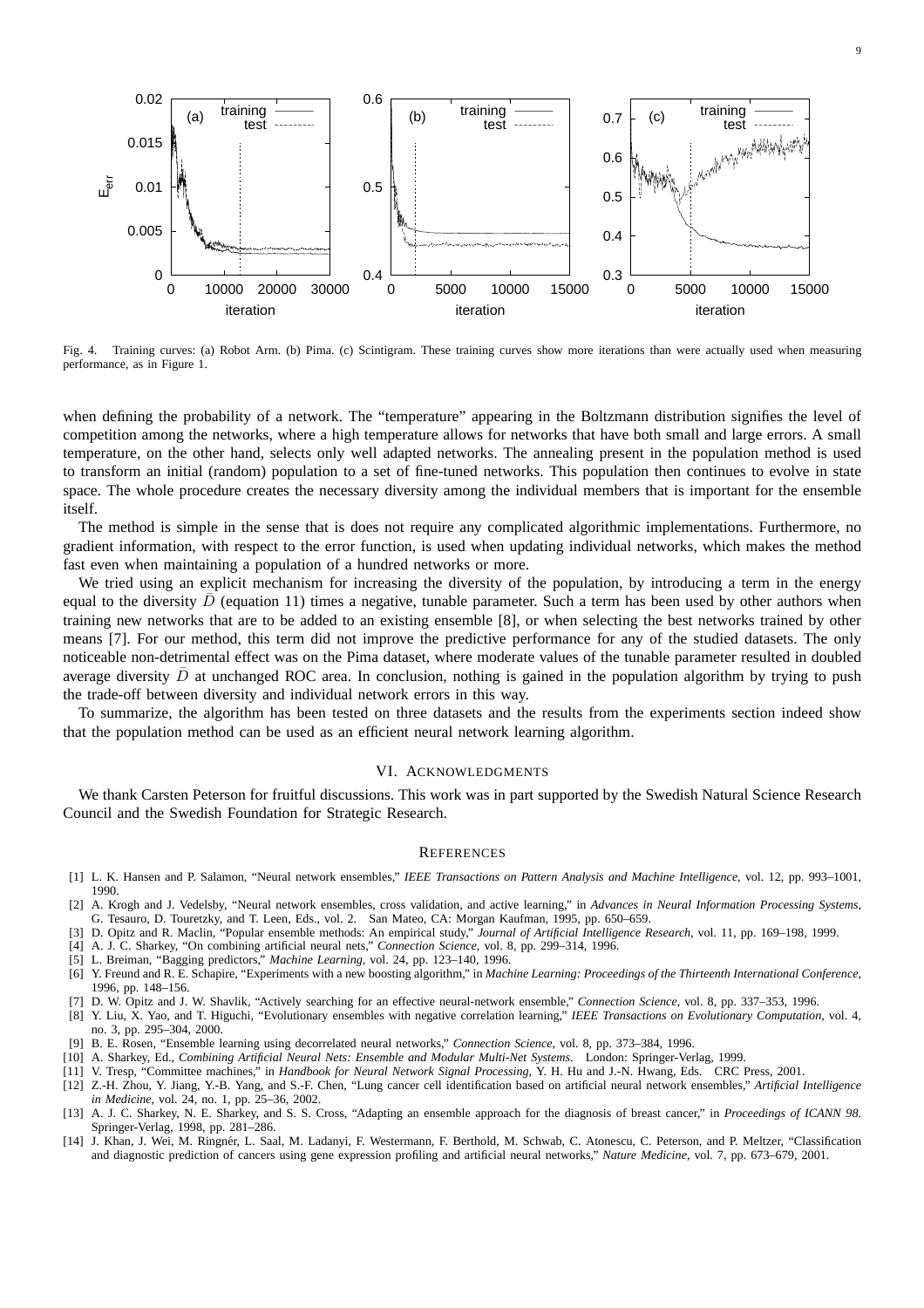

Fig. 4. Training curves: (a) Robot Arm. (b) Pima. (c) Scintigram. These training curves show more iterations than were actually used when measuring performance, as in Figure 1.

when defining the probability of a network. The "temperature" appearing in the Boltzmann distribution signifies the level of competition among the networks, where a high temperature allows for networks that have both small and large errors. A small temperature, on the other hand, selects only well adapted networks. The annealing present in the population method is used to transform an initial (random) population to a set of fine-tuned networks. This population then continues to evolve in state space. The whole procedure creates the necessary diversity among the individual members that is important for the ensemble itself.

The method is simple in the sense that is does not require any complicated algorithmic implementations. Furthermore, no gradient information, with respect to the error function, is used when updating individual networks, which makes the method fast even when maintaining a population of a hundred networks or more.

We tried using an explicit mechanism for increasing the diversity of the population, by introducing a term in the energy equal to the diversity  $\bar{D}$  (equation 11) times a negative, tunable parameter. Such a term has been used by other authors when training new networks that are to be added to an existing ensemble [8], or when selecting the best networks trained by other means [7]. For our method, this term did not improve the predictive performance for any of the studied datasets. The only noticeable non-detrimental effect was on the Pima dataset, where moderate values of the tunable parameter resulted in doubled average diversity  $\overline{D}$  at unchanged ROC area. In conclusion, nothing is gained in the population algorithm by trying to push the trade-off between diversity and individual network errors in this way.

To summarize, the algorithm has been tested on three datasets and the results from the experiments section indeed show that the population method can be used as an efficient neural network learning algorithm.

## VI. ACKNOWLEDGMENTS

We thank Carsten Peterson for fruitful discussions. This work was in part supported by the Swedish Natural Science Research Council and the Swedish Foundation for Strategic Research.

## **REFERENCES**

- [1] L. K. Hansen and P. Salamon, "Neural network ensembles," *IEEE Transactions on Pattern Analysis and Machine Intelligence*, vol. 12, pp. 993–1001, 1990.
- [2] A. Krogh and J. Vedelsby, "Neural network ensembles, cross validation, and active learning," in *Advances in Neural Information Processing Systems*, G. Tesauro, D. Touretzky, and T. Leen, Eds., vol. 2. San Mateo, CA: Morgan Kaufman, 1995, pp. 650–659.
- [3] D. Opitz and R. Maclin, "Popular ensemble methods: An empirical study," *Journal of Artificial Intelligence Research*, vol. 11, pp. 169–198, 1999.
- [4] A. J. C. Sharkey, "On combining artificial neural nets," *Connection Science*, vol. 8, pp. 299–314, 1996.
- [5] L. Breiman, "Bagging predictors," *Machine Learning*, vol. 24, pp. 123–140, 1996.
- [6] Y. Freund and R. E. Schapire, "Experiments with a new boosting algorithm," in *Machine Learning: Proceedings of the Thirteenth International Conference*, 1996, pp. 148–156.
- [7] D. W. Opitz and J. W. Shavlik, "Actively searching for an effective neural-network ensemble," *Connection Science*, vol. 8, pp. 337–353, 1996.
- [8] Y. Liu, X. Yao, and T. Higuchi, "Evolutionary ensembles with negative correlation learning," *IEEE Transactions on Evolutionary Computation*, vol. 4, no. 3, pp. 295–304, 2000.
- [9] B. E. Rosen, "Ensemble learning using decorrelated neural networks," *Connection Science*, vol. 8, pp. 373–384, 1996.
- [10] A. Sharkey, Ed., *Combining Artificial Neural Nets: Ensemble and Modular Multi-Net Systems*. London: Springer-Verlag, 1999.
- [11] V. Tresp, "Committee machines," in *Handbook for Neural Network Signal Processing*, Y. H. Hu and J.-N. Hwang, Eds. CRC Press, 2001.
- [12] Z.-H. Zhou, Y. Jiang, Y.-B. Yang, and S.-F. Chen, "Lung cancer cell identification based on artificial neural network ensembles," *Artificial Intelligence in Medicine*, vol. 24, no. 1, pp. 25–36, 2002.
- [13] A. J. C. Sharkey, N. E. Sharkey, and S. S. Cross, "Adapting an ensemble approach for the diagnosis of breast cancer," in *Proceedings of ICANN 98*. Springer-Verlag, 1998, pp. 281–286.
- [14] J. Khan, J. Wei, M. Ringnér, L. Saal, M. Ladanyi, F. Westermann, F. Berthold, M. Schwab, C. Atonescu, C. Peterson, and P. Meltzer, "Classification and diagnostic prediction of cancers using gene expression profiling and artificial neural networks," *Nature Medicine*, vol. 7, pp. 673–679, 2001.